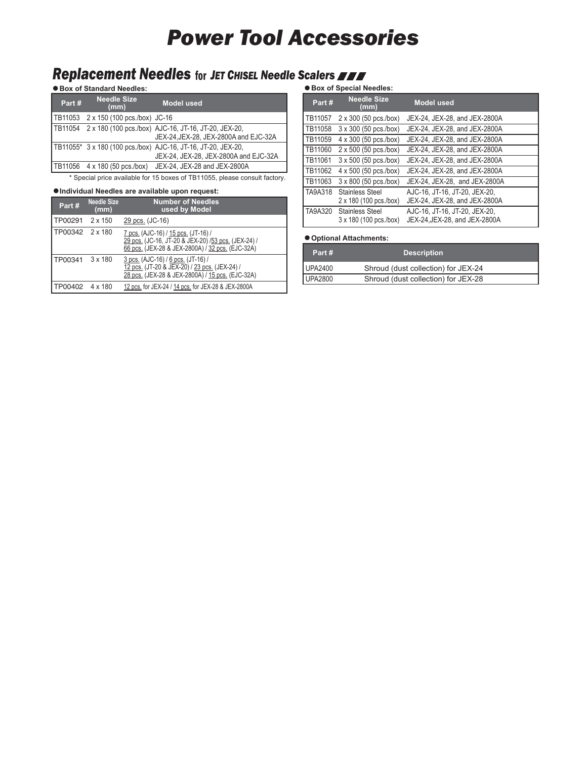## *Power Tool Accessories*

## **Replacement Needles** for JET CHISEL Needle Scalers **AND**

**Box of Standard Needles:**

| Part# | <b>Needle Size</b><br>(mm)           | <b>Model used</b>                                                                                      |
|-------|--------------------------------------|--------------------------------------------------------------------------------------------------------|
|       | TB11053 2 x 150 (100 pcs./box) JC-16 |                                                                                                        |
|       |                                      | TB11054 2 x 180 (100 pcs./box) AJC-16, JT-16, JT-20, JEX-20,<br>JEX-24, JEX-28, JEX-2800A and EJC-32A  |
|       |                                      | TB11055* 3 x 180 (100 pcs./box) AJC-16, JT-16, JT-20, JEX-20,<br>JEX-24, JEX-28, JEX-2800A and EJC-32A |
|       |                                      | <b>TB11056</b> 4 x 180 (50 pcs./box) JEX-24, JEX-28 and JEX-2800A                                      |

\* Special price available for 15 boxes of TB11055, please consult factory.

### **Individual Needles are available upon request:**

| Part#                   | <b>Needle Size</b><br>(mm) | <b>Number of Needles</b><br>used by Model                                                                                                      |
|-------------------------|----------------------------|------------------------------------------------------------------------------------------------------------------------------------------------|
| TP00291                 | 2 x 150                    | 29 pcs. (JC-16)                                                                                                                                |
| TP00342 2 x 180         |                            | 7 pcs. (AJC-16) / 15 pcs. (JT-16) /<br>29 pcs. (JC-16, JT-20 & JEX-20) /53 pcs. (JEX-24) /<br>66 pcs. (JEX-28 & JEX-2800A) / 32 pcs. (EJC-32A) |
| TP00341                 | $3 \times 180$             | 3 pcs. (AJC-16) / 6 pcs. (JT-16) /<br>12 pcs. (JT-20 & JEX-20) / 23 pcs. (JEX-24) /<br>28 pcs. (JEX-28 & JEX-2800A) / 15 pcs. (EJC-32A)        |
| <b>ITP00402 4 x 180</b> |                            | 12 pcs. for JEX-24 / 14 pcs. for JEX-28 & JEX-2800A                                                                                            |

### **Box of Special Needles:**

| Part#   | <b>Needle Size</b><br>(mm)                       | <b>Model used</b>                                              |
|---------|--------------------------------------------------|----------------------------------------------------------------|
| TB11057 | 2 x 300 (50 pcs./box)                            | JEX-24, JEX-28, and JEX-2800A                                  |
| TB11058 | 3 x 300 (50 pcs./box)                            | JEX-24, JEX-28, and JEX-2800A                                  |
| TB11059 | 4 x 300 (50 pcs./box)                            | JEX-24, JEX-28, and JEX-2800A                                  |
| TB11060 | 2 x 500 (50 pcs./box)                            | JEX-24, JEX-28, and JEX-2800A                                  |
| TB11061 | 3 x 500 (50 pcs./box)                            | JEX-24, JEX-28, and JEX-2800A                                  |
| TB11062 | 4 x 500 (50 pcs./box)                            | JEX-24, JEX-28, and JEX-2800A                                  |
| TB11063 | 3 x 800 (50 pcs./box)                            | JEX-24, JEX-28, and JEX-2800A                                  |
| TA9A318 | <b>Stainless Steel</b><br>2 x 180 (100 pcs./box) | AJC-16, JT-16, JT-20, JEX-20,<br>JEX-24, JEX-28, and JEX-2800A |
| TA9A320 | <b>Stainless Steel</b><br>3 x 180 (100 pcs./box) | AJC-16, JT-16, JT-20, JEX-20,<br>JEX-24, JEX-28, and JEX-2800A |

### **Optional Attachments:**

| Part#          | <b>Description</b>                  |  |
|----------------|-------------------------------------|--|
| UPA2400        | Shroud (dust collection) for JEX-24 |  |
| <b>UPA2800</b> | Shroud (dust collection) for JEX-28 |  |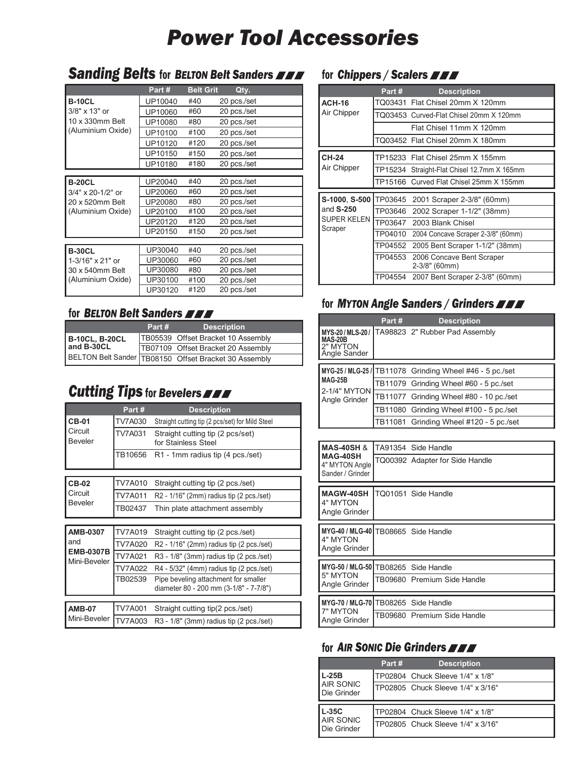# *Power Tool Accessories*

### **Sanding Belts** for BELTON Belt Sanders **FFF** for Chippers / Scalers

|                   | Part#   | <b>Belt Grit</b> | Qty.        |
|-------------------|---------|------------------|-------------|
| <b>B-10CL</b>     | UP10040 | #40              | 20 pcs./set |
| 3/8" x 13" or     | UP10060 | #60              | 20 pcs./set |
| 10 x 330mm Belt   | UP10080 | #80              | 20 pcs./set |
| (Aluminium Oxide) | UP10100 | #100             | 20 pcs./set |
|                   | UP10120 | #120             | 20 pcs./set |
|                   | UP10150 | #150             | 20 pcs./set |
|                   | UP10180 | #180             | 20 pcs./set |
|                   |         |                  |             |
| <b>B-20CL</b>     | UP20040 | #40              | 20 pcs./set |
| 3/4" x 20-1/2" or | UP20060 | #60              | 20 pcs./set |
| 20 x 520mm Belt   | UP20080 | #80              | 20 pcs./set |
| (Aluminium Oxide) | UP20100 | #100             | 20 pcs./set |
|                   | UP20120 | #120             | 20 pcs./set |
|                   | UP20150 | #150             | 20 pcs./set |
|                   |         |                  |             |
| <b>B-30CL</b>     | UP30040 | #40              | 20 pcs./set |
| 1-3/16" x 21" or  | UP30060 | #60              | 20 pcs./set |
| 30 x 540mm Belt   | UP30080 | #80              | 20 pcs./set |
| (Aluminium Oxide) | UP30100 | #100             | 20 pcs./set |
|                   | UP30120 | #120             | 20 pcs./set |

### for *BELTON Belt Sanders*

|                       | Part # | <b>Description</b>                                    |
|-----------------------|--------|-------------------------------------------------------|
| <b>B-10CL, B-20CL</b> |        | TB05539 Offset Bracket 10 Assembly                    |
| and B-30CL            |        | TB07109 Offset Bracket 20 Assembly                    |
|                       |        | BELTON Belt Sander TB08150 Offset Bracket 30 Assembly |

## **Cutting Tips** for Bevelers **FRA**

|                                  | Part#   | <b>Description</b>                                                             |
|----------------------------------|---------|--------------------------------------------------------------------------------|
| <b>CB-01</b>                     | TV7A030 | Straight cutting tip (2 pcs/set) for Mild Steel                                |
| Circuit<br><b>Beveler</b>        | TV7A031 | Straight cutting tip (2 pcs/set)<br>for Stainless Steel                        |
|                                  | TB10656 | R1 - 1mm radius tip (4 pcs./set)                                               |
|                                  |         |                                                                                |
| <b>CB-02</b>                     | TV7A010 | Straight cutting tip (2 pcs./set)                                              |
| Circuit                          | TV7A011 | R2 - 1/16" (2mm) radius tip (2 pcs./set)                                       |
| <b>Beveler</b>                   | TB02437 | Thin plate attachment assembly                                                 |
|                                  |         |                                                                                |
| <b>AMB-0307</b>                  | TV7A019 | Straight cutting tip (2 pcs./set)                                              |
| and                              | TV7A020 | R2 - 1/16" (2mm) radius tip (2 pcs./set)                                       |
| <b>EMB-0307B</b><br>Mini-Beveler | TV7A021 | R3 - 1/8" (3mm) radius tip (2 pcs./set)                                        |
|                                  | TV7A022 | R4 - 5/32" (4mm) radius tip (2 pcs./set)                                       |
|                                  | TB02539 | Pipe beveling attachment for smaller<br>diameter 80 - 200 mm (3-1/8" - 7-7/8") |
|                                  |         |                                                                                |
| <b>AMB-07</b>                    | TV7A001 | Straight cutting tip(2 pcs./set)                                               |
| Mini-Beveler                     | TV7A003 | R3 - 1/8" (3mm) radius tip (2 pcs./set)                                        |

|                        | Part #  |                                             |
|------------------------|---------|---------------------------------------------|
|                        |         | <b>Description</b>                          |
| <b>ACH-16</b>          |         | TO03431 Flat Chisel 20mm X 120mm            |
| Air Chipper            |         | TO03453 Curved-Flat Chisel 20mm X 120mm     |
|                        |         | Flat Chisel 11mm X 120mm                    |
|                        |         | TQ03452 Flat Chisel 20mm X 180mm            |
| <b>CH-24</b>           |         | TP15233 Flat Chisel 25mm X 155mm            |
| Air Chipper            |         | TP15234 Straight-Flat Chisel 12.7mm X 165mm |
|                        |         | TP15166 Curved Flat Chisel 25mm X 155mm     |
|                        |         |                                             |
| S-1000, S-500          | TP03645 | 2001 Scraper 2-3/8" (60mm)                  |
| and $S-250$            | TP03646 | 2002 Scraper 1-1/2" (38mm)                  |
| SUPER KELEN<br>Scraper |         | TP03647 2003 Blank Chisel                   |
|                        |         | TP04010 2004 Concave Scraper 2-3/8" (60mm)  |
|                        |         | TP04552 2005 Bent Scraper 1-1/2" (38mm)     |
|                        | TP04553 | 2006 Concave Bent Scraper<br>2-3/8" (60mm)  |
|                        |         | TP04554 2007 Bent Scraper 2-3/8" (60mm)     |

### for *MYTON Angle Sanders / Grinders*

|                                            | Part# | <b>Description</b>                                       |
|--------------------------------------------|-------|----------------------------------------------------------|
| <b>MAS-20B</b><br>2" MYTON<br>Angle Sander |       | MYS-20/MLS-20/ TA98823 2" Rubber Pad Assembly            |
|                                            |       |                                                          |
|                                            |       | MYG-25 / MLG-25 / TB11078 Grinding Wheel #46 - 5 pc./set |
| <b>MAG-25B</b>                             |       | TB11079 Grinding Wheel #60 - 5 pc./set                   |
| 2-1/4" MYTON<br>Angle Grinder              |       | TB11077 Grinding Wheel #80 - 10 pc./set                  |
|                                            |       | TB11080 Grinding Wheel #100 - 5 pc./set                  |
|                                            |       | TB11081 Grinding Wheel #120 - 5 pc./set                  |

| <b>MAS-40SH &amp;</b><br>MAG-40SH<br>4" MYTON Angle<br>Sander / Grinder | TA91354 Side Handle<br>TQ00392 Adapter for Side Handle |
|-------------------------------------------------------------------------|--------------------------------------------------------|
| <b>MAGW-40SH</b><br>4" MYTON<br>Angle Grinder                           | TO01051 Side Handle                                    |
| MYG-40 / MLG-40   TB08665 Side Handle<br>4" MYTON<br>Angle Grinder      |                                                        |
| MYG-50 / MLG-50   TB08265 Side Handle<br>5" MYTON<br>Angle Grinder      | TB09680 Premium Side Handle                            |
| MYG-70 / MLG-70   TB08265 Side Handle<br>7" MYTON<br>Angle Grinder      | TB09680 Premium Side Handle                            |

### for *AIR SONIC Die Grinders*

|                                 | Part# | <b>Description</b>                |
|---------------------------------|-------|-----------------------------------|
| $L-25B$                         |       | TP02804 Chuck Sleeve 1/4" x 1/8"  |
| <b>AIR SONIC</b><br>Die Grinder |       | TP02805 Chuck Sleeve 1/4" x 3/16" |
|                                 |       |                                   |
| $L-35C$<br><b>AIR SONIC</b>     |       | TP02804 Chuck Sleeve 1/4" x 1/8"  |